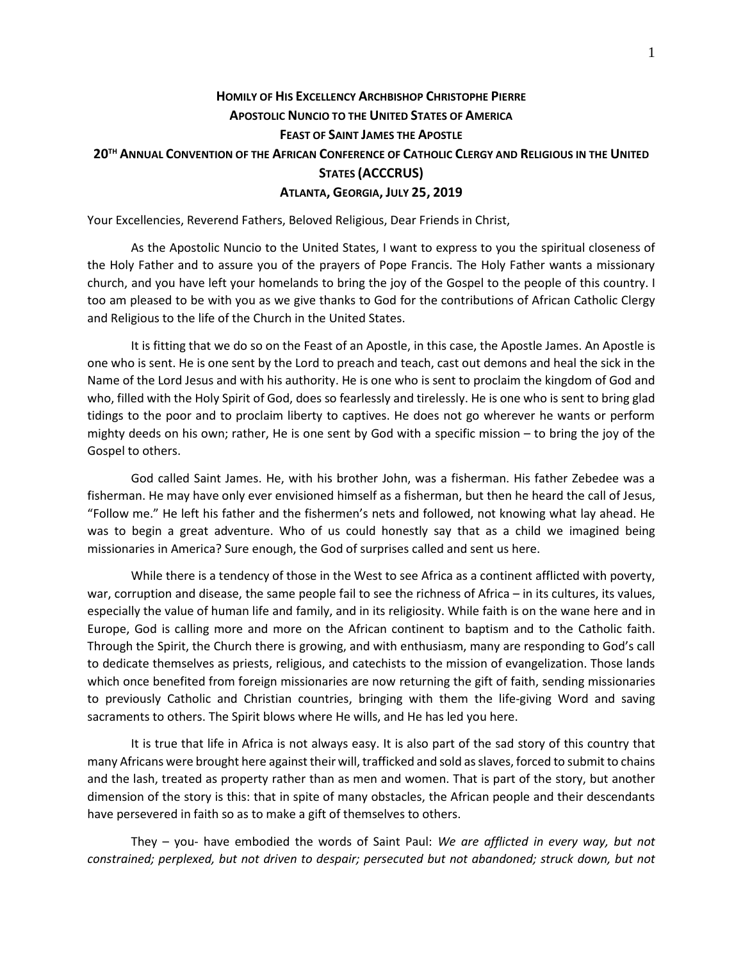## **HOMILY OF HIS EXCELLENCY ARCHBISHOP CHRISTOPHE PIERRE APOSTOLIC NUNCIO TO THE UNITED STATES OF AMERICA FEAST OF SAINT JAMES THE APOSTLE 20TH ANNUAL CONVENTION OF THE AFRICAN CONFERENCE OF CATHOLIC CLERGY AND RELIGIOUS IN THE UNITED STATES (ACCCRUS) ATLANTA, GEORGIA, JULY 25, 2019**

Your Excellencies, Reverend Fathers, Beloved Religious, Dear Friends in Christ,

As the Apostolic Nuncio to the United States, I want to express to you the spiritual closeness of the Holy Father and to assure you of the prayers of Pope Francis. The Holy Father wants a missionary church, and you have left your homelands to bring the joy of the Gospel to the people of this country. I too am pleased to be with you as we give thanks to God for the contributions of African Catholic Clergy and Religious to the life of the Church in the United States.

It is fitting that we do so on the Feast of an Apostle, in this case, the Apostle James. An Apostle is one who is sent. He is one sent by the Lord to preach and teach, cast out demons and heal the sick in the Name of the Lord Jesus and with his authority. He is one who is sent to proclaim the kingdom of God and who, filled with the Holy Spirit of God, does so fearlessly and tirelessly. He is one who is sent to bring glad tidings to the poor and to proclaim liberty to captives. He does not go wherever he wants or perform mighty deeds on his own; rather, He is one sent by God with a specific mission – to bring the joy of the Gospel to others.

God called Saint James. He, with his brother John, was a fisherman. His father Zebedee was a fisherman. He may have only ever envisioned himself as a fisherman, but then he heard the call of Jesus, "Follow me." He left his father and the fishermen's nets and followed, not knowing what lay ahead. He was to begin a great adventure. Who of us could honestly say that as a child we imagined being missionaries in America? Sure enough, the God of surprises called and sent us here.

While there is a tendency of those in the West to see Africa as a continent afflicted with poverty, war, corruption and disease, the same people fail to see the richness of Africa – in its cultures, its values, especially the value of human life and family, and in its religiosity. While faith is on the wane here and in Europe, God is calling more and more on the African continent to baptism and to the Catholic faith. Through the Spirit, the Church there is growing, and with enthusiasm, many are responding to God's call to dedicate themselves as priests, religious, and catechists to the mission of evangelization. Those lands which once benefited from foreign missionaries are now returning the gift of faith, sending missionaries to previously Catholic and Christian countries, bringing with them the life-giving Word and saving sacraments to others. The Spirit blows where He wills, and He has led you here.

It is true that life in Africa is not always easy. It is also part of the sad story of this country that many Africans were brought here against their will, trafficked and sold as slaves, forced to submit to chains and the lash, treated as property rather than as men and women. That is part of the story, but another dimension of the story is this: that in spite of many obstacles, the African people and their descendants have persevered in faith so as to make a gift of themselves to others.

They – you- have embodied the words of Saint Paul: *We are afflicted in every way, but not constrained; perplexed, but not driven to despair; persecuted but not abandoned; struck down, but not*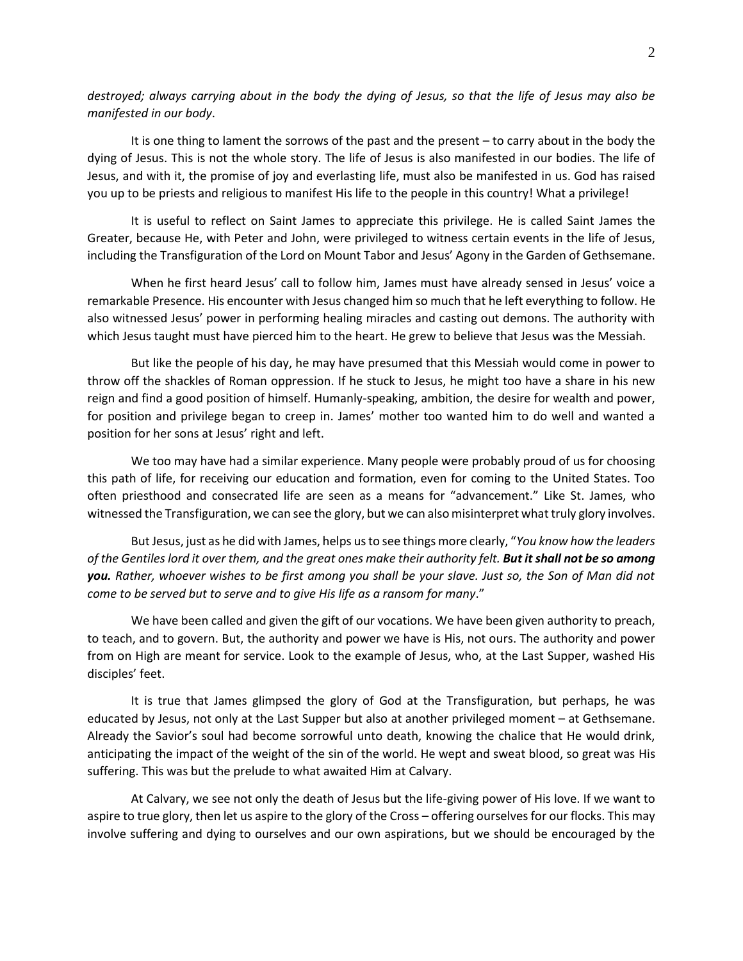*destroyed; always carrying about in the body the dying of Jesus, so that the life of Jesus may also be manifested in our body*.

It is one thing to lament the sorrows of the past and the present – to carry about in the body the dying of Jesus. This is not the whole story. The life of Jesus is also manifested in our bodies. The life of Jesus, and with it, the promise of joy and everlasting life, must also be manifested in us. God has raised you up to be priests and religious to manifest His life to the people in this country! What a privilege!

It is useful to reflect on Saint James to appreciate this privilege. He is called Saint James the Greater, because He, with Peter and John, were privileged to witness certain events in the life of Jesus, including the Transfiguration of the Lord on Mount Tabor and Jesus' Agony in the Garden of Gethsemane.

When he first heard Jesus' call to follow him, James must have already sensed in Jesus' voice a remarkable Presence. His encounter with Jesus changed him so much that he left everything to follow. He also witnessed Jesus' power in performing healing miracles and casting out demons. The authority with which Jesus taught must have pierced him to the heart. He grew to believe that Jesus was the Messiah.

But like the people of his day, he may have presumed that this Messiah would come in power to throw off the shackles of Roman oppression. If he stuck to Jesus, he might too have a share in his new reign and find a good position of himself. Humanly-speaking, ambition, the desire for wealth and power, for position and privilege began to creep in. James' mother too wanted him to do well and wanted a position for her sons at Jesus' right and left.

We too may have had a similar experience. Many people were probably proud of us for choosing this path of life, for receiving our education and formation, even for coming to the United States. Too often priesthood and consecrated life are seen as a means for "advancement." Like St. James, who witnessed the Transfiguration, we can see the glory, but we can also misinterpret what truly glory involves.

But Jesus, just as he did with James, helps us to see things more clearly, "*You know how the leaders of the Gentiles lord it over them, and the great ones make their authority felt. But it shall not be so among you. Rather, whoever wishes to be first among you shall be your slave. Just so, the Son of Man did not come to be served but to serve and to give His life as a ransom for many*."

We have been called and given the gift of our vocations. We have been given authority to preach, to teach, and to govern. But, the authority and power we have is His, not ours. The authority and power from on High are meant for service. Look to the example of Jesus, who, at the Last Supper, washed His disciples' feet.

It is true that James glimpsed the glory of God at the Transfiguration, but perhaps, he was educated by Jesus, not only at the Last Supper but also at another privileged moment – at Gethsemane. Already the Savior's soul had become sorrowful unto death, knowing the chalice that He would drink, anticipating the impact of the weight of the sin of the world. He wept and sweat blood, so great was His suffering. This was but the prelude to what awaited Him at Calvary.

At Calvary, we see not only the death of Jesus but the life-giving power of His love. If we want to aspire to true glory, then let us aspire to the glory of the Cross – offering ourselves for our flocks. This may involve suffering and dying to ourselves and our own aspirations, but we should be encouraged by the